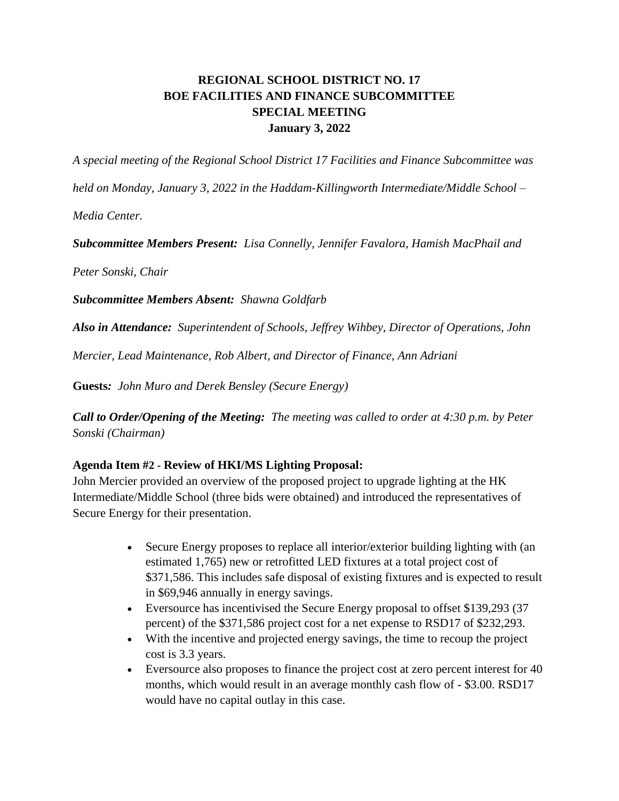## **REGIONAL SCHOOL DISTRICT NO. 17 BOE FACILITIES AND FINANCE SUBCOMMITTEE SPECIAL MEETING January 3, 2022**

*A special meeting of the Regional School District 17 Facilities and Finance Subcommittee was* 

*held on Monday, January 3, 2022 in the Haddam-Killingworth Intermediate/Middle School –*

*Media Center.*

*Subcommittee Members Present: Lisa Connelly, Jennifer Favalora, Hamish MacPhail and* 

*Peter Sonski, Chair*

*Subcommittee Members Absent: Shawna Goldfarb*

*Also in Attendance: Superintendent of Schools, Jeffrey Wihbey, Director of Operations, John* 

*Mercier, Lead Maintenance, Rob Albert, and Director of Finance, Ann Adriani*

**Guests***: John Muro and Derek Bensley (Secure Energy)*

*Call to Order/Opening of the Meeting: The meeting was called to order at 4:30 p.m. by Peter Sonski (Chairman)*

## **Agenda Item #2 - Review of HKI/MS Lighting Proposal:**

John Mercier provided an overview of the proposed project to upgrade lighting at the HK Intermediate/Middle School (three bids were obtained) and introduced the representatives of Secure Energy for their presentation.

- Secure Energy proposes to replace all interior/exterior building lighting with (an estimated 1,765) new or retrofitted LED fixtures at a total project cost of \$371,586. This includes safe disposal of existing fixtures and is expected to result in \$69,946 annually in energy savings.
- Eversource has incentivised the Secure Energy proposal to offset \$139,293 (37 percent) of the \$371,586 project cost for a net expense to RSD17 of \$232,293.
- With the incentive and projected energy savings, the time to recoup the project cost is 3.3 years.
- Eversource also proposes to finance the project cost at zero percent interest for 40 months, which would result in an average monthly cash flow of - \$3.00. RSD17 would have no capital outlay in this case.